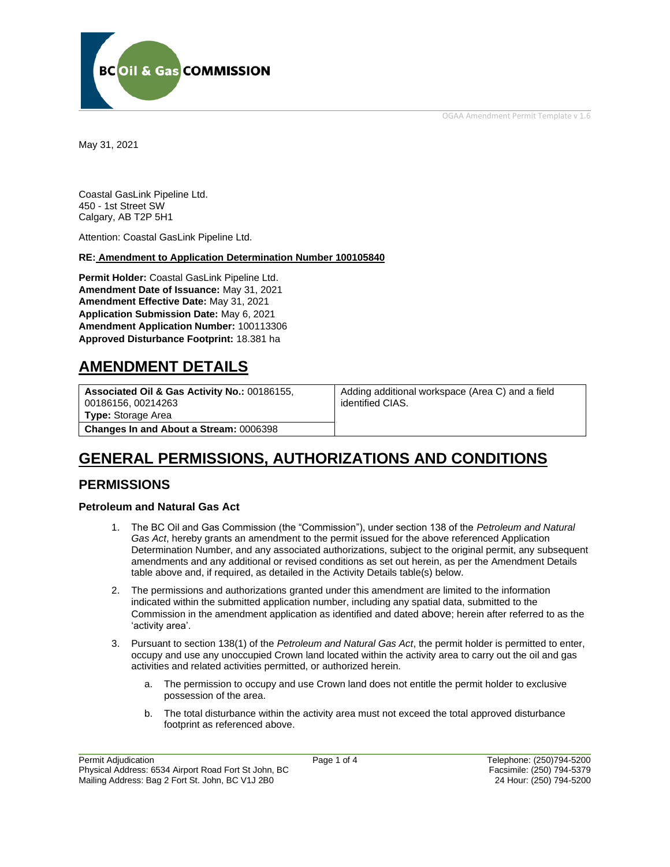OGAA Amendment Permit Template v 1.6



May 31, 2021

Coastal GasLink Pipeline Ltd. 450 - 1st Street SW Calgary, AB T2P 5H1

Attention: Coastal GasLink Pipeline Ltd.

#### **RE: Amendment to Application Determination Number 100105840**

**Permit Holder:** Coastal GasLink Pipeline Ltd. **Amendment Date of Issuance:** May 31, 2021 **Amendment Effective Date:** May 31, 2021 **Application Submission Date:** May 6, 2021 **Amendment Application Number:** 100113306 **Approved Disturbance Footprint:** 18.381 ha

# **AMENDMENT DETAILS**

**Associated Oil & Gas Activity No.:** 00186155, 00186156, 00214263 **[Type:](https://bi.bcogc.ca/Application%20Processing/Interactive%20Reports/(BIL-041)%20AMS%20Decision%20Summary.aspx)** Storage Area **Changes In and About a Stream:** 0006398

Adding additional workspace (Area C) and a field identified CIAS.

# **GENERAL PERMISSIONS, AUTHORIZATIONS AND CONDITIONS**

# **PERMISSIONS**

### **Petroleum and Natural Gas Act**

- 1. The BC Oil and Gas Commission (the "Commission"), under section 138 of the *Petroleum and Natural Gas Act*, hereby grants an amendment to the permit issued for the above referenced Application Determination Number, and any associated authorizations, subject to the original permit, any subsequent amendments and any additional or revised conditions as set out herein, as per the Amendment Details table above and, if required, as detailed in the Activity Details table(s) below.
- 2. The permissions and authorizations granted under this amendment are limited to the information indicated within the submitted application number, including any spatial data, submitted to the Commission in the amendment application as identified and dated above; herein after referred to as the 'activity area'.
- 3. Pursuant to section 138(1) of the *Petroleum and Natural Gas Act*, the permit holder is permitted to enter, occupy and use any unoccupied Crown land located within the activity area to carry out the oil and gas activities and related activities permitted, or authorized herein.
	- a. The permission to occupy and use Crown land does not entitle the permit holder to exclusive possession of the area.
	- b. The total disturbance within the activity area must not exceed the total approved disturbance footprint as referenced above.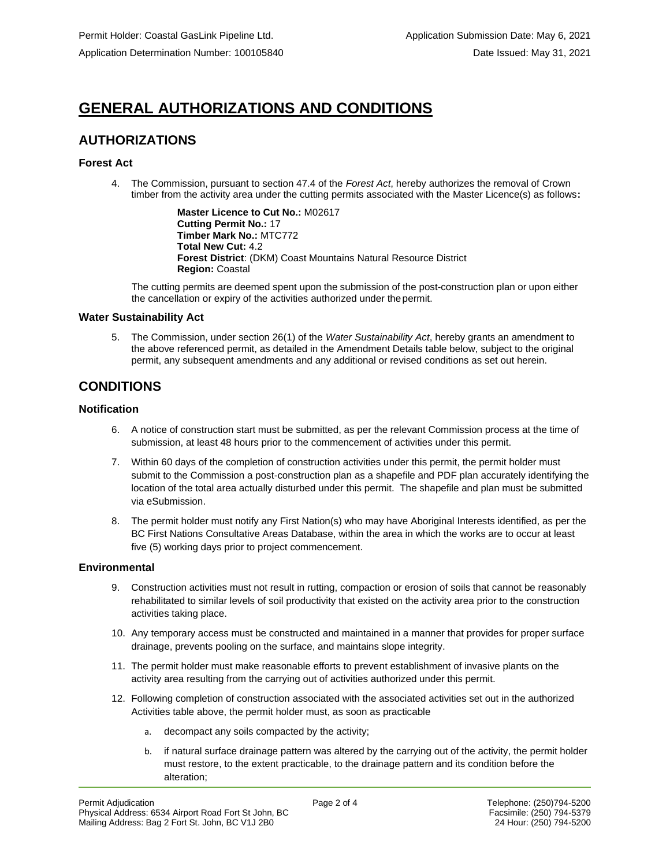# **GENERAL AUTHORIZATIONS AND CONDITIONS**

# **AUTHORIZATIONS**

## **Forest Act**

4. The Commission, pursuant to section 47.4 of the *Forest Act*, hereby authorizes the removal of Crown timber from the activity area under the cutting permits associated with the Master Licence(s) as follows**:**

> **Master Licence to Cut No.:** M02617 **Cutting Permit No.:** 17 **Timber Mark No.:** MTC772 **Total New Cut:** 4.2 **Forest District**: (DKM) Coast Mountains Natural Resource District **Region:** Coastal

The cutting permits are deemed spent upon the submission of the post-construction plan or upon either the cancellation or expiry of the activities authorized under the permit.

### **Water Sustainability Act**

5. The Commission, under section 26(1) of the *Water Sustainability Act*, hereby grants an amendment to the above referenced permit, as detailed in the Amendment Details table below, subject to the original permit, any subsequent amendments and any additional or revised conditions as set out herein.

# **CONDITIONS**

### **Notification**

- 6. A notice of construction start must be submitted, as per the relevant Commission process at the time of submission, at least 48 hours prior to the commencement of activities under this permit.
- 7. Within 60 days of the completion of construction activities under this permit, the permit holder must submit to the Commission a post-construction plan as a shapefile and PDF plan accurately identifying the location of the total area actually disturbed under this permit. The shapefile and plan must be submitted via eSubmission.
- 8. The permit holder must notify any First Nation(s) who may have Aboriginal Interests identified, as per the BC First Nations Consultative Areas Database, within the area in which the works are to occur at least five (5) working days prior to project commencement.

### **Environmental**

- 9. Construction activities must not result in rutting, compaction or erosion of soils that cannot be reasonably rehabilitated to similar levels of soil productivity that existed on the activity area prior to the construction activities taking place.
- 10. Any temporary access must be constructed and maintained in a manner that provides for proper surface drainage, prevents pooling on the surface, and maintains slope integrity.
- 11. The permit holder must make reasonable efforts to prevent establishment of invasive plants on the activity area resulting from the carrying out of activities authorized under this permit.
- 12. Following completion of construction associated with the associated activities set out in the authorized Activities table above, the permit holder must, as soon as practicable
	- a. decompact any soils compacted by the activity;
	- b. if natural surface drainage pattern was altered by the carrying out of the activity, the permit holder must restore, to the extent practicable, to the drainage pattern and its condition before the alteration;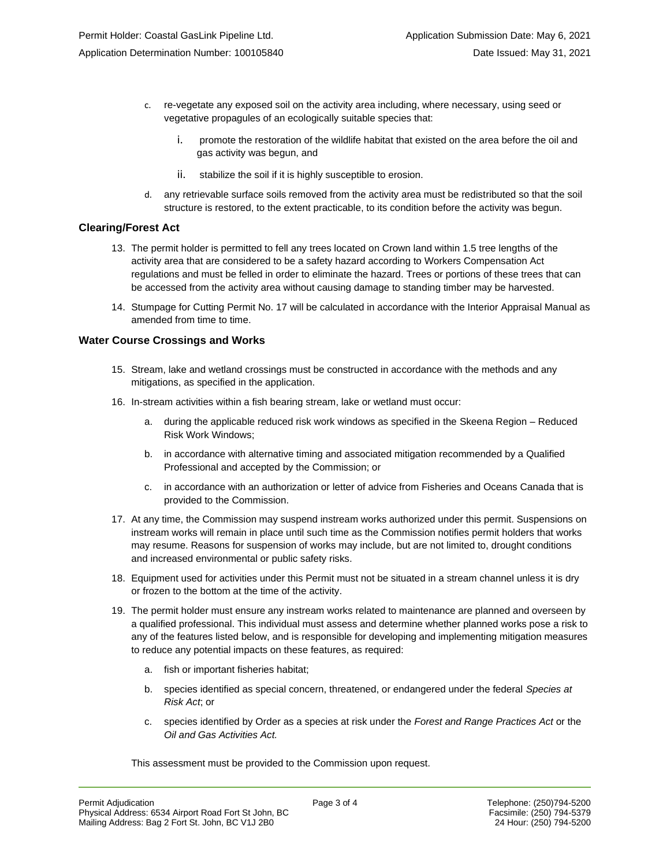- c. re-vegetate any exposed soil on the activity area including, where necessary, using seed or vegetative propagules of an ecologically suitable species that:
	- i. promote the restoration of the wildlife habitat that existed on the area before the oil and gas activity was begun, and
	- ii. stabilize the soil if it is highly susceptible to erosion.
- d. any retrievable surface soils removed from the activity area must be redistributed so that the soil structure is restored, to the extent practicable, to its condition before the activity was begun.

## **Clearing/Forest Act**

- 13. The permit holder is permitted to fell any trees located on Crown land within 1.5 tree lengths of the activity area that are considered to be a safety hazard according to Workers Compensation Act regulations and must be felled in order to eliminate the hazard. Trees or portions of these trees that can be accessed from the activity area without causing damage to standing timber may be harvested.
- 14. Stumpage for Cutting Permit No. 17 will be calculated in accordance with the Interior Appraisal Manual as amended from time to time.

## **Water Course Crossings and Works**

- 15. Stream, lake and wetland crossings must be constructed in accordance with the methods and any mitigations, as specified in the application.
- 16. In-stream activities within a fish bearing stream, lake or wetland must occur:
	- a. during the applicable reduced risk work windows as specified in the Skeena Region Reduced Risk Work Windows;
	- b. in accordance with alternative timing and associated mitigation recommended by a Qualified Professional and accepted by the Commission; or
	- c. in accordance with an authorization or letter of advice from Fisheries and Oceans Canada that is provided to the Commission.
- 17. At any time, the Commission may suspend instream works authorized under this permit. Suspensions on instream works will remain in place until such time as the Commission notifies permit holders that works may resume. Reasons for suspension of works may include, but are not limited to, drought conditions and increased environmental or public safety risks.
- 18. Equipment used for activities under this Permit must not be situated in a stream channel unless it is dry or frozen to the bottom at the time of the activity.
- 19. The permit holder must ensure any instream works related to maintenance are planned and overseen by a qualified professional. This individual must assess and determine whether planned works pose a risk to any of the features listed below, and is responsible for developing and implementing mitigation measures to reduce any potential impacts on these features, as required:
	- a. fish or important fisheries habitat;
	- b. species identified as special concern, threatened, or endangered under the federal *Species at Risk Act*; or
	- c. species identified by Order as a species at risk under the *Forest and Range Practices Act* or the *Oil and Gas Activities Act.*

This assessment must be provided to the Commission upon request.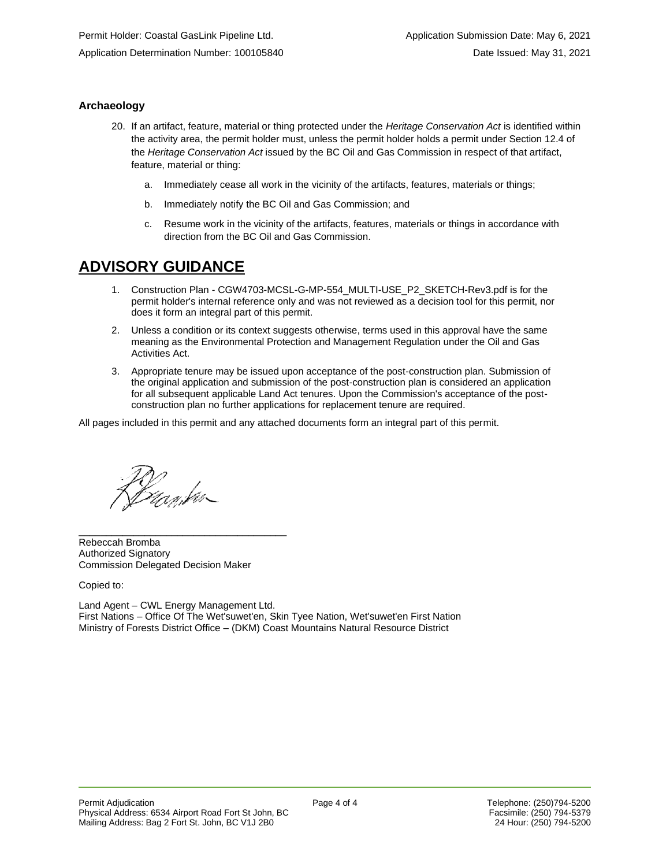## **Archaeology**

- 20. If an artifact, feature, material or thing protected under the *Heritage Conservation Act* is identified within the activity area, the permit holder must, unless the permit holder holds a permit under Section 12.4 of the *Heritage Conservation Act* issued by the BC Oil and Gas Commission in respect of that artifact, feature, material or thing:
	- a. Immediately cease all work in the vicinity of the artifacts, features, materials or things;
	- b. Immediately notify the BC Oil and Gas Commission; and
	- c. Resume work in the vicinity of the artifacts, features, materials or things in accordance with direction from the BC Oil and Gas Commission.

# **ADVISORY GUIDANCE**

- 1. Construction Plan CGW4703-MCSL-G-MP-554\_MULTI-USE\_P2\_SKETCH-Rev3.pdf is for the permit holder's internal reference only and was not reviewed as a decision tool for this permit, nor does it form an integral part of this permit.
- 2. Unless a condition or its context suggests otherwise, terms used in this approval have the same meaning as the Environmental Protection and Management Regulation under the Oil and Gas Activities Act.
- 3. Appropriate tenure may be issued upon acceptance of the post-construction plan. Submission of the original application and submission of the post-construction plan is considered an application for all subsequent applicable Land Act tenures. Upon the Commission's acceptance of the postconstruction plan no further applications for replacement tenure are required.

All pages included in this permit and any attached documents form an integral part of this permit.

filf<br>*Duankv* 

Rebeccah Bromba Authorized Signatory Commission Delegated Decision Maker

\_\_\_\_\_\_\_\_\_\_\_\_\_\_\_\_\_\_\_\_\_\_\_\_\_\_\_\_\_\_\_\_\_\_\_\_\_\_

Copied to:

Land Agent – CWL Energy Management Ltd. First Nations – Office Of The Wet'suwet'en, Skin Tyee Nation, Wet'suwet'en First Nation Ministry of Forests District Office – (DKM) Coast Mountains Natural Resource District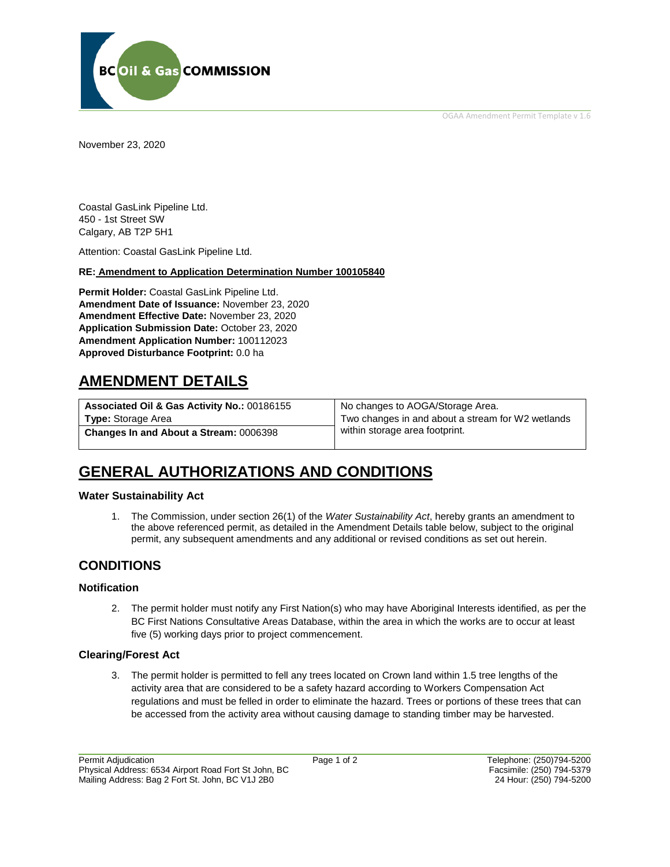OGAA Amendment Permit Template v 1.6



November 23, 2020

Coastal GasLink Pipeline Ltd. 450 - 1st Street SW Calgary, AB T2P 5H1

Attention: Coastal GasLink Pipeline Ltd.

## **RE: Amendment to Application Determination Number 100105840**

**Permit Holder:** Coastal GasLink Pipeline Ltd. **Amendment Date of Issuance:** November 23, 2020 **Amendment Effective Date:** November 23, 2020 **Application Submission Date:** October 23, 2020 **Amendment Application Number:** 100112023 **Approved Disturbance Footprint:** 0.0 ha

# **AMENDMENT DETAILS**

| Associated Oil & Gas Activity No.: 00186155   | No changes to AOGA/Storage Area.                  |
|-----------------------------------------------|---------------------------------------------------|
| <b>Type:</b> Storage Area                     | Two changes in and about a stream for W2 wetlands |
| <b>Changes In and About a Stream: 0006398</b> | within storage area footprint.                    |

# **GENERAL AUTHORIZATIONS AND CONDITIONS**

## **Water Sustainability Act**

1. The Commission, under section 26(1) of the *Water Sustainability Act*, hereby grants an amendment to the above referenced permit, as detailed in the Amendment Details table below, subject to the original permit, any subsequent amendments and any additional or revised conditions as set out herein.

# **CONDITIONS**

### **Notification**

2. The permit holder must notify any First Nation(s) who may have Aboriginal Interests identified, as per the BC First Nations Consultative Areas Database, within the area in which the works are to occur at least five (5) working days prior to project commencement.

### **Clearing/Forest Act**

3. The permit holder is permitted to fell any trees located on Crown land within 1.5 tree lengths of the activity area that are considered to be a safety hazard according to Workers Compensation Act regulations and must be felled in order to eliminate the hazard. Trees or portions of these trees that can be accessed from the activity area without causing damage to standing timber may be harvested.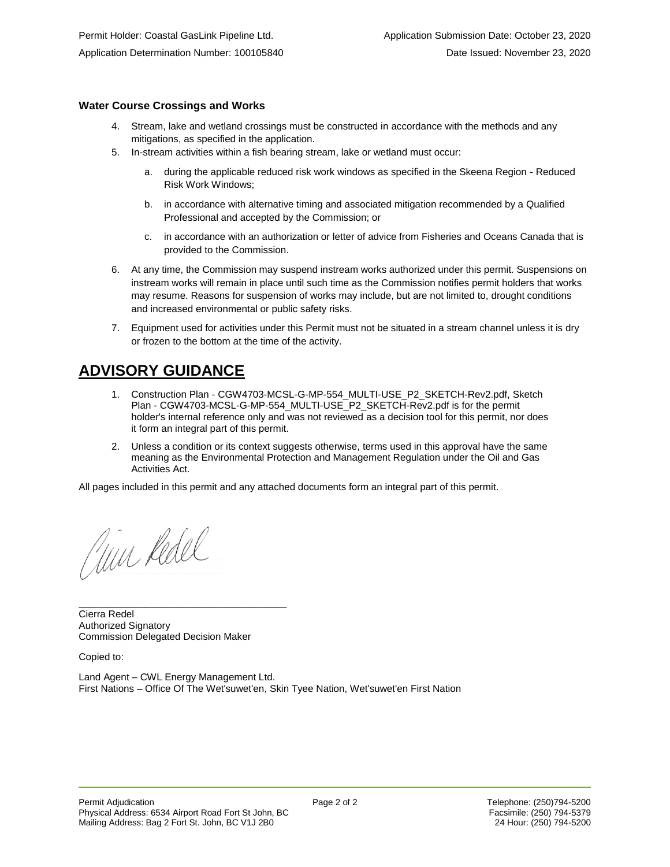## **Water Course Crossings and Works**

- 4. Stream, lake and wetland crossings must be constructed in accordance with the methods and any mitigations, as specified in the application.
- 5. In-stream activities within a fish bearing stream, lake or wetland must occur:
	- a. during the applicable reduced risk work windows as specified in the Skeena Region Reduced Risk Work Windows;
	- b. in accordance with alternative timing and associated mitigation recommended by a Qualified Professional and accepted by the Commission; or
	- c. in accordance with an authorization or letter of advice from Fisheries and Oceans Canada that is provided to the Commission.
- 6. At any time, the Commission may suspend instream works authorized under this permit. Suspensions on instream works will remain in place until such time as the Commission notifies permit holders that works may resume. Reasons for suspension of works may include, but are not limited to, drought conditions and increased environmental or public safety risks.
- 7. Equipment used for activities under this Permit must not be situated in a stream channel unless it is dry or frozen to the bottom at the time of the activity.

# **ADVISORY GUIDANCE**

- 1. Construction Plan CGW4703-MCSL-G-MP-554\_MULTI-USE\_P2\_SKETCH-Rev2.pdf, Sketch Plan - CGW4703-MCSL-G-MP-554\_MULTI-USE\_P2\_SKETCH-Rev2.pdf is for the permit holder's internal reference only and was not reviewed as a decision tool for this permit, nor does it form an integral part of this permit.
- 2. Unless a condition or its context suggests otherwise, terms used in this approval have the same meaning as the Environmental Protection and Management Regulation under the Oil and Gas Activities Act.

All pages included in this permit and any attached documents form an integral part of this permit.

aun Redel

Cierra Redel Authorized Signatory Commission Delegated Decision Maker

\_\_\_\_\_\_\_\_\_\_\_\_\_\_\_\_\_\_\_\_\_\_\_\_\_\_\_\_\_\_\_\_\_\_\_\_\_\_

Copied to:

Land Agent – CWL Energy Management Ltd. First Nations – Office Of The Wet'suwet'en, Skin Tyee Nation, Wet'suwet'en First Nation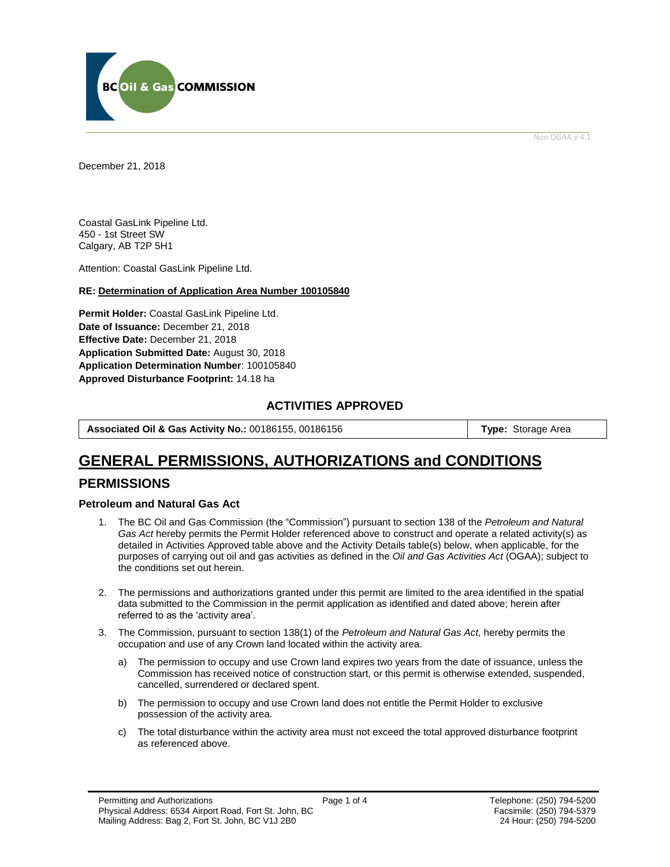

Non OGAA v 4.1

December 21, 2018

Coastal GasLink Pipeline Ltd. 450 - 1st Street SW Calgary, AB T2P 5H1

Attention: Coastal GasLink Pipeline Ltd.

#### **RE: Determination of Application Area Number 100105840**

**Permit Holder:** Coastal GasLink Pipeline Ltd. **Date of Issuance:** December 21, 2018 **Effective Date:** December 21, 2018 **Application Submitted Date:** August 30, 2018 **Application Determination Number**: 100105840 **Approved Disturbance Footprint:** 14.18 ha

## **ACTIVITIES APPROVED**

**Associated Oil & Gas Activity No.:** 00186155, 00186156 **Type:** Storage Area

# **GENERAL PERMISSIONS, AUTHORIZATIONS and CONDITIONS**

## **PERMISSIONS**

**Petroleum and Natural Gas Act**

- 1. The BC Oil and Gas Commission (the "Commission") pursuant to section 138 of the *Petroleum and Natural Gas Act* hereby permits the Permit Holder referenced above to construct and operate a related activity(s) as detailed in Activities Approved table above and the Activity Details table(s) below, when applicable, for the purposes of carrying out oil and gas activities as defined in the *Oil and Gas Activities Act* (OGAA); subject to the conditions set out herein.
- 2. The permissions and authorizations granted under this permit are limited to the area identified in the spatial data submitted to the Commission in the permit application as identified and dated above; herein after referred to as the 'activity area'.
- 3. The Commission, pursuant to section 138(1) of the *Petroleum and Natural Gas Act,* hereby permits the occupation and use of any Crown land located within the activity area.
	- a) The permission to occupy and use Crown land expires two years from the date of issuance, unless the Commission has received notice of construction start, or this permit is otherwise extended, suspended, cancelled, surrendered or declared spent.
	- b) The permission to occupy and use Crown land does not entitle the Permit Holder to exclusive possession of the activity area.
	- c) The total disturbance within the activity area must not exceed the total approved disturbance footprint as referenced above.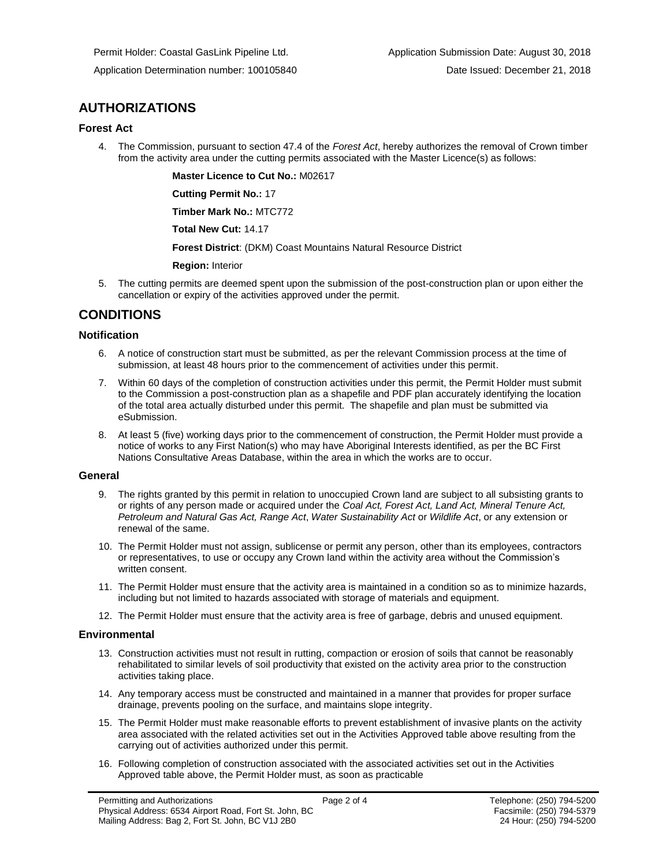# **AUTHORIZATIONS**

### **Forest Act**

4. The Commission, pursuant to section 47.4 of the *Forest Act*, hereby authorizes the removal of Crown timber from the activity area under the cutting permits associated with the Master Licence(s) as follows:

**Master Licence to Cut No.:** M02617

**Cutting Permit No.:** 17

**Timber Mark No.:** MTC772

**Total New Cut:** 14.17

**Forest District**: (DKM) Coast Mountains Natural Resource District

**Region:** Interior

5. The cutting permits are deemed spent upon the submission of the post-construction plan or upon either the cancellation or expiry of the activities approved under the permit.

# **CONDITIONS**

### **Notification**

- 6. A notice of construction start must be submitted, as per the relevant Commission process at the time of submission, at least 48 hours prior to the commencement of activities under this permit.
- 7. Within 60 days of the completion of construction activities under this permit, the Permit Holder must submit to the Commission a post-construction plan as a shapefile and PDF plan accurately identifying the location of the total area actually disturbed under this permit. The shapefile and plan must be submitted via eSubmission.
- 8. At least 5 (five) working days prior to the commencement of construction, the Permit Holder must provide a notice of works to any First Nation(s) who may have Aboriginal Interests identified, as per the BC First Nations Consultative Areas Database, within the area in which the works are to occur.

### **General**

- 9. The rights granted by this permit in relation to unoccupied Crown land are subject to all subsisting grants to or rights of any person made or acquired under the *Coal Act, Forest Act, Land Act, Mineral Tenure Act, Petroleum and Natural Gas Act, Range Act*, *Water Sustainability Act* or *Wildlife Act*, or any extension or renewal of the same.
- 10. The Permit Holder must not assign, sublicense or permit any person, other than its employees, contractors or representatives, to use or occupy any Crown land within the activity area without the Commission's written consent.
- 11. The Permit Holder must ensure that the activity area is maintained in a condition so as to minimize hazards, including but not limited to hazards associated with storage of materials and equipment.
- 12. The Permit Holder must ensure that the activity area is free of garbage, debris and unused equipment.

### **Environmental**

- 13. Construction activities must not result in rutting, compaction or erosion of soils that cannot be reasonably rehabilitated to similar levels of soil productivity that existed on the activity area prior to the construction activities taking place.
- 14. Any temporary access must be constructed and maintained in a manner that provides for proper surface drainage, prevents pooling on the surface, and maintains slope integrity.
- 15. The Permit Holder must make reasonable efforts to prevent establishment of invasive plants on the activity area associated with the related activities set out in the Activities Approved table above resulting from the carrying out of activities authorized under this permit.
- 16. Following completion of construction associated with the associated activities set out in the Activities Approved table above, the Permit Holder must, as soon as practicable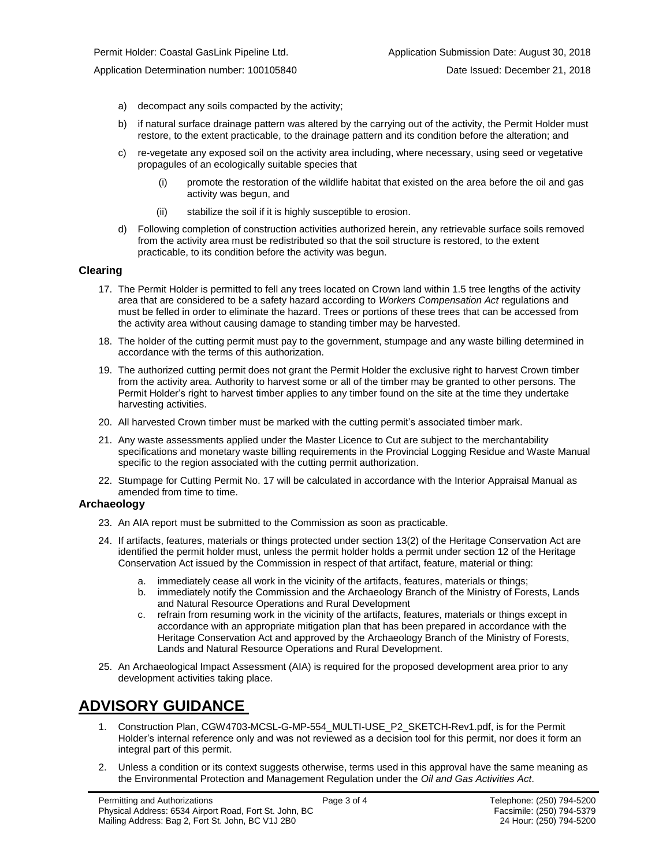Application Determination number: 100105840 Date Issued: December 21, 2018

- a) decompact any soils compacted by the activity;
- b) if natural surface drainage pattern was altered by the carrying out of the activity, the Permit Holder must restore, to the extent practicable, to the drainage pattern and its condition before the alteration; and
- c) re-vegetate any exposed soil on the activity area including, where necessary, using seed or vegetative propagules of an ecologically suitable species that
	- (i) promote the restoration of the wildlife habitat that existed on the area before the oil and gas activity was begun, and
	- (ii) stabilize the soil if it is highly susceptible to erosion.
- d) Following completion of construction activities authorized herein, any retrievable surface soils removed from the activity area must be redistributed so that the soil structure is restored, to the extent practicable, to its condition before the activity was begun.

### **Clearing**

- 17. The Permit Holder is permitted to fell any trees located on Crown land within 1.5 tree lengths of the activity area that are considered to be a safety hazard according to *Workers Compensation Act* regulations and must be felled in order to eliminate the hazard. Trees or portions of these trees that can be accessed from the activity area without causing damage to standing timber may be harvested.
- 18. The holder of the cutting permit must pay to the government, stumpage and any waste billing determined in accordance with the terms of this authorization.
- 19. The authorized cutting permit does not grant the Permit Holder the exclusive right to harvest Crown timber from the activity area. Authority to harvest some or all of the timber may be granted to other persons. The Permit Holder's right to harvest timber applies to any timber found on the site at the time they undertake harvesting activities.
- 20. All harvested Crown timber must be marked with the cutting permit's associated timber mark.
- 21. Any waste assessments applied under the Master Licence to Cut are subject to the merchantability specifications and monetary waste billing requirements in the Provincial Logging Residue and Waste Manual specific to the region associated with the cutting permit authorization.
- 22. Stumpage for Cutting Permit No. 17 will be calculated in accordance with the Interior Appraisal Manual as amended from time to time.

### **Archaeology**

- 23. An AIA report must be submitted to the Commission as soon as practicable.
- 24. If artifacts, features, materials or things protected under section 13(2) of the Heritage Conservation Act are identified the permit holder must, unless the permit holder holds a permit under section 12 of the Heritage Conservation Act issued by the Commission in respect of that artifact, feature, material or thing:
	- a. immediately cease all work in the vicinity of the artifacts, features, materials or things;
	- b. immediately notify the Commission and the Archaeology Branch of the Ministry of Forests, Lands and Natural Resource Operations and Rural Development
	- c. refrain from resuming work in the vicinity of the artifacts, features, materials or things except in accordance with an appropriate mitigation plan that has been prepared in accordance with the Heritage Conservation Act and approved by the Archaeology Branch of the Ministry of Forests, Lands and Natural Resource Operations and Rural Development.
- 25. An Archaeological Impact Assessment (AIA) is required for the proposed development area prior to any development activities taking place.

# **ADVISORY GUIDANCE**

- 1. Construction Plan, CGW4703-MCSL-G-MP-554\_MULTI-USE\_P2\_SKETCH-Rev1.pdf, is for the Permit Holder's internal reference only and was not reviewed as a decision tool for this permit, nor does it form an integral part of this permit.
- 2. Unless a condition or its context suggests otherwise, terms used in this approval have the same meaning as the Environmental Protection and Management Regulation under the *Oil and Gas Activities Act*.